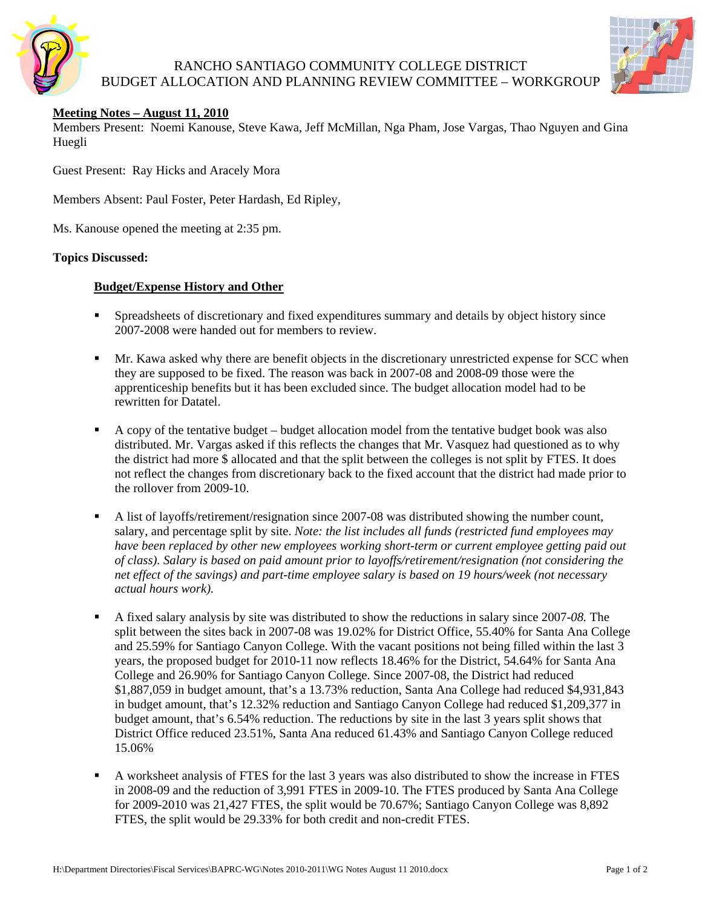

# RANCHO SANTIAGO COMMUNITY COLLEGE DISTRICT BUDGET ALLOCATION AND PLANNING REVIEW COMMITTEE – WORKGROUP



### **Meeting Notes – August 11, 2010**

Members Present: Noemi Kanouse, Steve Kawa, Jeff McMillan, Nga Pham, Jose Vargas, Thao Nguyen and Gina Huegli

Guest Present: Ray Hicks and Aracely Mora

Members Absent: Paul Foster, Peter Hardash, Ed Ripley,

Ms. Kanouse opened the meeting at 2:35 pm.

#### **Topics Discussed:**

### **Budget/Expense History and Other**

- **Spreadsheets of discretionary and fixed expenditures summary and details by object history since** 2007-2008 were handed out for members to review.
- **Mr.** Kawa asked why there are benefit objects in the discretionary unrestricted expense for SCC when they are supposed to be fixed. The reason was back in 2007-08 and 2008-09 those were the apprenticeship benefits but it has been excluded since. The budget allocation model had to be rewritten for Datatel.
- A copy of the tentative budget budget allocation model from the tentative budget book was also distributed. Mr. Vargas asked if this reflects the changes that Mr. Vasquez had questioned as to why the district had more \$ allocated and that the split between the colleges is not split by FTES. It does not reflect the changes from discretionary back to the fixed account that the district had made prior to the rollover from 2009-10.
- A list of layoffs/retirement/resignation since 2007-08 was distributed showing the number count, salary, and percentage split by site. *Note: the list includes all funds (restricted fund employees may have been replaced by other new employees working short-term or current employee getting paid out of class). Salary is based on paid amount prior to layoffs/retirement/resignation (not considering the net effect of the savings) and part-time employee salary is based on 19 hours/week (not necessary actual hours work).*
- A fixed salary analysis by site was distributed to show the reductions in salary since 2007-*08.* The split between the sites back in 2007-08 was 19.02% for District Office, 55.40% for Santa Ana College and 25.59% for Santiago Canyon College. With the vacant positions not being filled within the last 3 years, the proposed budget for 2010-11 now reflects 18.46% for the District, 54.64% for Santa Ana College and 26.90% for Santiago Canyon College. Since 2007-08, the District had reduced \$1,887,059 in budget amount, that's a 13.73% reduction, Santa Ana College had reduced \$4,931,843 in budget amount, that's 12.32% reduction and Santiago Canyon College had reduced \$1,209,377 in budget amount, that's 6.54% reduction. The reductions by site in the last 3 years split shows that District Office reduced 23.51%, Santa Ana reduced 61.43% and Santiago Canyon College reduced 15.06%
- A worksheet analysis of FTES for the last 3 years was also distributed to show the increase in FTES in 2008-09 and the reduction of 3,991 FTES in 2009-10. The FTES produced by Santa Ana College for 2009-2010 was 21,427 FTES, the split would be 70.67%; Santiago Canyon College was 8,892 FTES, the split would be 29.33% for both credit and non-credit FTES.